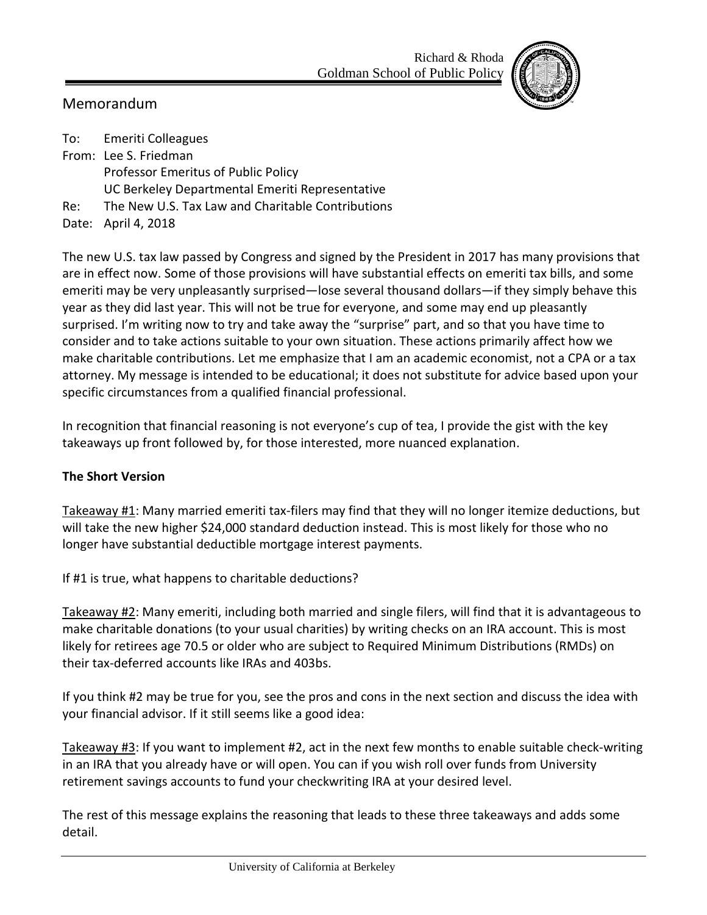Richard & Rhoda Goldman School of Public Policy



## Memorandum

To: Emeriti Colleagues From: Lee S. Friedman Professor Emeritus of Public Policy UC Berkeley Departmental Emeriti Representative Re: The New U.S. Tax Law and Charitable Contributions Date: April 4, 2018

The new U.S. tax law passed by Congress and signed by the President in 2017 has many provisions that are in effect now. Some of those provisions will have substantial effects on emeriti tax bills, and some emeriti may be very unpleasantly surprised—lose several thousand dollars—if they simply behave this year as they did last year. This will not be true for everyone, and some may end up pleasantly surprised. I'm writing now to try and take away the "surprise" part, and so that you have time to consider and to take actions suitable to your own situation. These actions primarily affect how we make charitable contributions. Let me emphasize that I am an academic economist, not a CPA or a tax attorney. My message is intended to be educational; it does not substitute for advice based upon your specific circumstances from a qualified financial professional.

In recognition that financial reasoning is not everyone's cup of tea, I provide the gist with the key takeaways up front followed by, for those interested, more nuanced explanation.

## **The Short Version**

Takeaway #1: Many married emeriti tax-filers may find that they will no longer itemize deductions, but will take the new higher \$24,000 standard deduction instead. This is most likely for those who no longer have substantial deductible mortgage interest payments.

If #1 is true, what happens to charitable deductions?

Takeaway #2: Many emeriti, including both married and single filers, will find that it is advantageous to make charitable donations (to your usual charities) by writing checks on an IRA account. This is most likely for retirees age 70.5 or older who are subject to Required Minimum Distributions (RMDs) on their tax-deferred accounts like IRAs and 403bs.

If you think #2 may be true for you, see the pros and cons in the next section and discuss the idea with your financial advisor. If it still seems like a good idea:

Takeaway #3: If you want to implement #2, act in the next few months to enable suitable check-writing in an IRA that you already have or will open. You can if you wish roll over funds from University retirement savings accounts to fund your checkwriting IRA at your desired level.

The rest of this message explains the reasoning that leads to these three takeaways and adds some detail.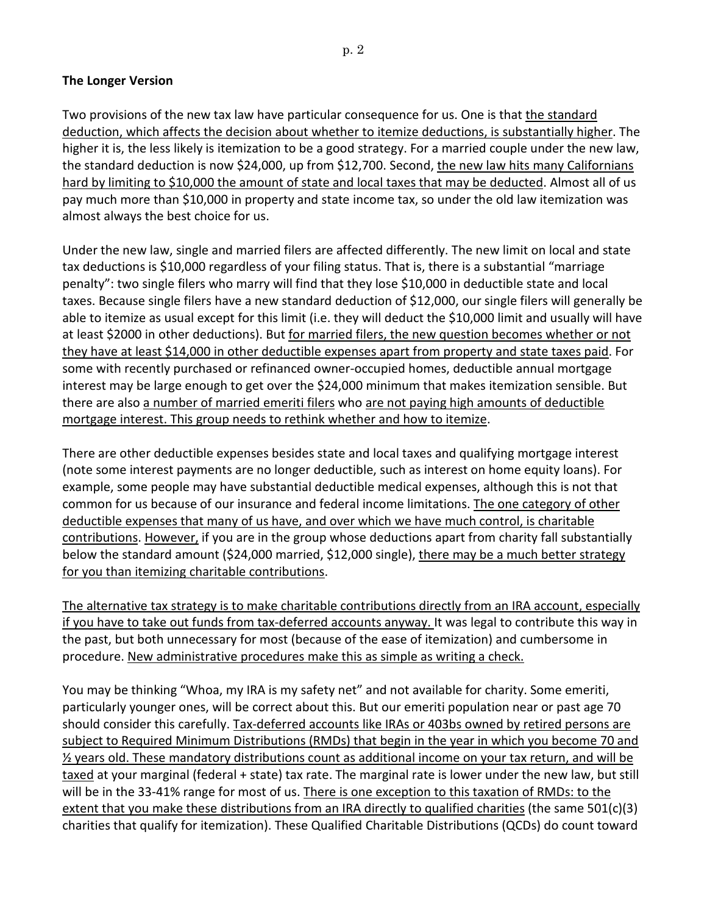## **The Longer Version**

Two provisions of the new tax law have particular consequence for us. One is that the standard deduction, which affects the decision about whether to itemize deductions, is substantially higher. The higher it is, the less likely is itemization to be a good strategy. For a married couple under the new law, the standard deduction is now \$24,000, up from \$12,700. Second, the new law hits many Californians hard by limiting to \$10,000 the amount of state and local taxes that may be deducted. Almost all of us pay much more than \$10,000 in property and state income tax, so under the old law itemization was almost always the best choice for us.

Under the new law, single and married filers are affected differently. The new limit on local and state tax deductions is \$10,000 regardless of your filing status. That is, there is a substantial "marriage penalty": two single filers who marry will find that they lose \$10,000 in deductible state and local taxes. Because single filers have a new standard deduction of \$12,000, our single filers will generally be able to itemize as usual except for this limit (i.e. they will deduct the \$10,000 limit and usually will have at least \$2000 in other deductions). But for married filers, the new question becomes whether or not they have at least \$14,000 in other deductible expenses apart from property and state taxes paid. For some with recently purchased or refinanced owner-occupied homes, deductible annual mortgage interest may be large enough to get over the \$24,000 minimum that makes itemization sensible. But there are also a number of married emeriti filers who are not paying high amounts of deductible mortgage interest. This group needs to rethink whether and how to itemize.

There are other deductible expenses besides state and local taxes and qualifying mortgage interest (note some interest payments are no longer deductible, such as interest on home equity loans). For example, some people may have substantial deductible medical expenses, although this is not that common for us because of our insurance and federal income limitations. The one category of other deductible expenses that many of us have, and over which we have much control, is charitable contributions. However, if you are in the group whose deductions apart from charity fall substantially below the standard amount (\$24,000 married, \$12,000 single), there may be a much better strategy for you than itemizing charitable contributions.

The alternative tax strategy is to make charitable contributions directly from an IRA account, especially if you have to take out funds from tax-deferred accounts anyway. It was legal to contribute this way in the past, but both unnecessary for most (because of the ease of itemization) and cumbersome in procedure. New administrative procedures make this as simple as writing a check.

You may be thinking "Whoa, my IRA is my safety net" and not available for charity. Some emeriti, particularly younger ones, will be correct about this. But our emeriti population near or past age 70 should consider this carefully. Tax-deferred accounts like IRAs or 403bs owned by retired persons are subject to Required Minimum Distributions (RMDs) that begin in the year in which you become 70 and  $\frac{1}{2}$  years old. These mandatory distributions count as additional income on your tax return, and will be taxed at your marginal (federal + state) tax rate. The marginal rate is lower under the new law, but still will be in the 33-41% range for most of us. There is one exception to this taxation of RMDs: to the extent that you make these distributions from an IRA directly to qualified charities (the same 501(c)(3) charities that qualify for itemization). These Qualified Charitable Distributions (QCDs) do count toward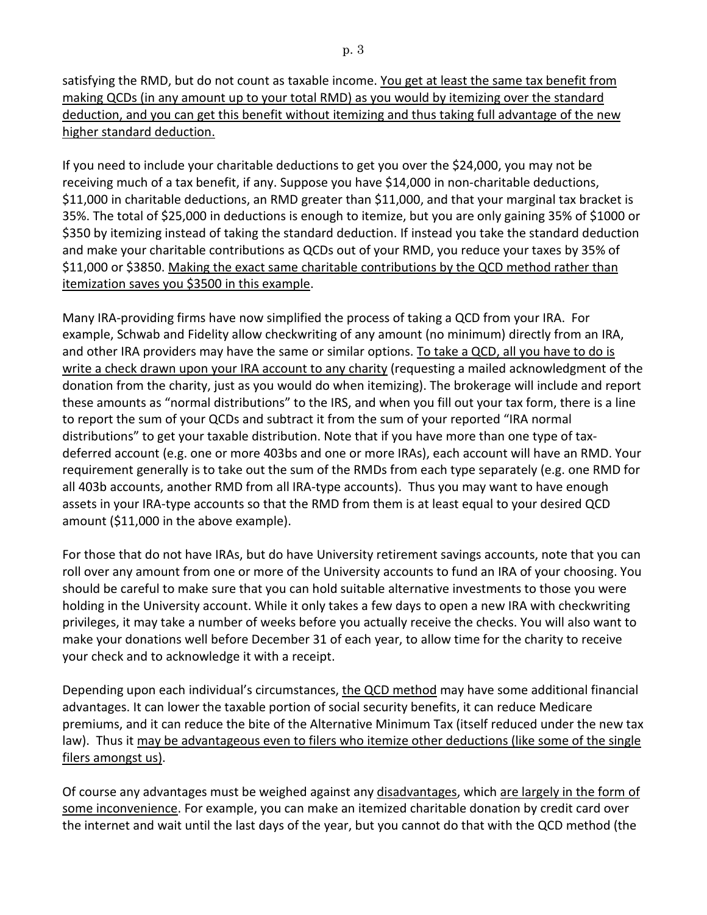satisfying the RMD, but do not count as taxable income. You get at least the same tax benefit from making QCDs (in any amount up to your total RMD) as you would by itemizing over the standard deduction, and you can get this benefit without itemizing and thus taking full advantage of the new higher standard deduction.

If you need to include your charitable deductions to get you over the \$24,000, you may not be receiving much of a tax benefit, if any. Suppose you have \$14,000 in non-charitable deductions, \$11,000 in charitable deductions, an RMD greater than \$11,000, and that your marginal tax bracket is 35%. The total of \$25,000 in deductions is enough to itemize, but you are only gaining 35% of \$1000 or \$350 by itemizing instead of taking the standard deduction. If instead you take the standard deduction and make your charitable contributions as QCDs out of your RMD, you reduce your taxes by 35% of \$11,000 or \$3850. Making the exact same charitable contributions by the QCD method rather than itemization saves you \$3500 in this example.

Many IRA-providing firms have now simplified the process of taking a QCD from your IRA. For example, Schwab and Fidelity allow checkwriting of any amount (no minimum) directly from an IRA, and other IRA providers may have the same or similar options. To take a QCD, all you have to do is write a check drawn upon your IRA account to any charity (requesting a mailed acknowledgment of the donation from the charity, just as you would do when itemizing). The brokerage will include and report these amounts as "normal distributions" to the IRS, and when you fill out your tax form, there is a line to report the sum of your QCDs and subtract it from the sum of your reported "IRA normal distributions" to get your taxable distribution. Note that if you have more than one type of taxdeferred account (e.g. one or more 403bs and one or more IRAs), each account will have an RMD. Your requirement generally is to take out the sum of the RMDs from each type separately (e.g. one RMD for all 403b accounts, another RMD from all IRA-type accounts). Thus you may want to have enough assets in your IRA-type accounts so that the RMD from them is at least equal to your desired QCD amount (\$11,000 in the above example).

For those that do not have IRAs, but do have University retirement savings accounts, note that you can roll over any amount from one or more of the University accounts to fund an IRA of your choosing. You should be careful to make sure that you can hold suitable alternative investments to those you were holding in the University account. While it only takes a few days to open a new IRA with checkwriting privileges, it may take a number of weeks before you actually receive the checks. You will also want to make your donations well before December 31 of each year, to allow time for the charity to receive your check and to acknowledge it with a receipt.

Depending upon each individual's circumstances, the QCD method may have some additional financial advantages. It can lower the taxable portion of social security benefits, it can reduce Medicare premiums, and it can reduce the bite of the Alternative Minimum Tax (itself reduced under the new tax law). Thus it may be advantageous even to filers who itemize other deductions (like some of the single filers amongst us).

Of course any advantages must be weighed against any disadvantages, which are largely in the form of some inconvenience. For example, you can make an itemized charitable donation by credit card over the internet and wait until the last days of the year, but you cannot do that with the QCD method (the